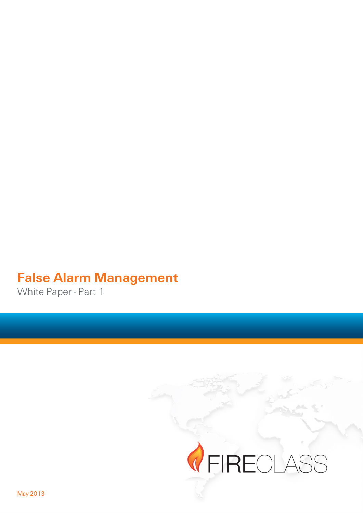# **False Alarm Management**

White Paper - Part 1

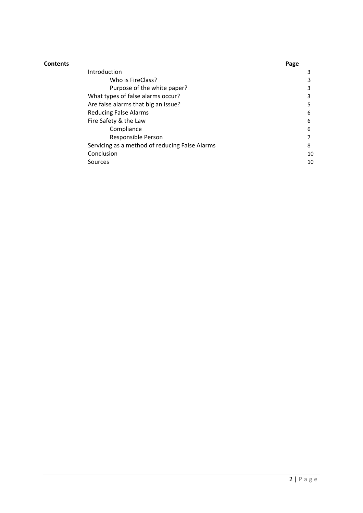| Contents |                                                | Page |
|----------|------------------------------------------------|------|
|          | Introduction                                   | 3    |
|          | Who is FireClass?                              | 3    |
|          | Purpose of the white paper?                    | 3    |
|          | What types of false alarms occur?              | 3    |
|          | Are false alarms that big an issue?            | 5    |
|          | <b>Reducing False Alarms</b>                   | 6    |
|          | Fire Safety & the Law                          | 6    |
|          | Compliance                                     | 6    |
|          | Responsible Person                             | 7    |
|          | Servicing as a method of reducing False Alarms | 8    |
|          | Conclusion                                     | 10   |
|          | Sources                                        | 10   |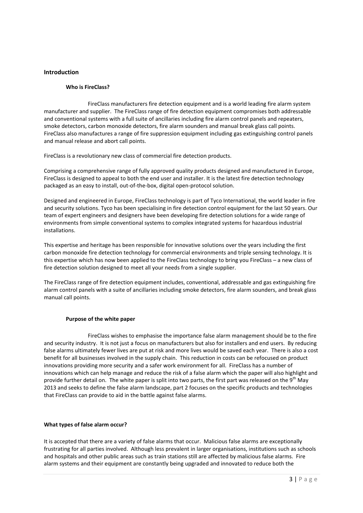# **Introduction''**

### **Who is FireClass?**

FireClass manufacturers fire detection equipment and is a world leading fire alarm system manufacturer and supplier. The FireClass range of fire detection equipment compromises both addressable and conventional systems with a full suite of ancillaries including fire alarm control panels and repeaters, smoke detectors, carbon monoxide detectors, fire alarm sounders and manual break glass call points. FireClass also manufactures a range of fire suppression equipment including gas extinguishing control panels and manual release and abort call points.

FireClass is a revolutionary new class of commercial fire detection products.

Comprising a comprehensive range of fully approved quality products designed and manufactured in Europe, FireClass is designed to appeal to both the end user and installer. It is the latest fire detection technology packaged as an easy to install, out-of-the-box, digital open-protocol solution.

Designed and engineered in Europe, FireClass technology is part of Tyco International, the world leader in fire and security solutions. Tyco has been specialising in fire detection control equipment for the last 50 years. Our team of expert engineers and designers have been developing fire detection solutions for a wide range of environments from simple conventional systems to complex integrated systems for hazardous industrial installations.

This expertise and heritage has been responsible for innovative solutions over the years including the first carbon monoxide fire detection technology for commercial environments and triple sensing technology. It is this expertise which has now been applied to the FireClass technology to bring you FireClass – a new class of fire detection solution designed to meet all your needs from a single supplier.

The FireClass range of fire detection equipment includes, conventional, addressable and gas extinguishing fire alarm control panels with a suite of ancillaries including smoke detectors, fire alarm sounders, and break glass manual call points.

## Purpose of the white paper

FireClass wishes to emphasise the importance false alarm management should be to the fire and security industry. It is not just a focus on manufacturers but also for installers and end users. By reducing false alarms ultimately fewer lives are put at risk and more lives would be saved each year. There is also a cost benefit for all businesses involved in the supply chain. This reduction in costs can be refocused on product innovations providing more security and a safer work environment for all. FireClass has a number of innovations which can help manage and reduce the risk of a false alarm which the paper will also highlight and provide further detail on. The white paper is split into two parts, the first part was released on the 9<sup>th</sup> May 2013 and seeks to define the false alarm landscape, part 2 focuses on the specific products and technologies that FireClass can provide to aid in the battle against false alarms.

#### What types of false alarm occur?

It is accepted that there are a variety of false alarms that occur. Malicious false alarms are exceptionally frustrating for all parties involved. Although less prevalent in larger organisations, institutions such as schools and hospitals and other public areas such as train stations still are affected by malicious false alarms. Fire alarm systems and their equipment are constantly being upgraded and innovated to reduce both the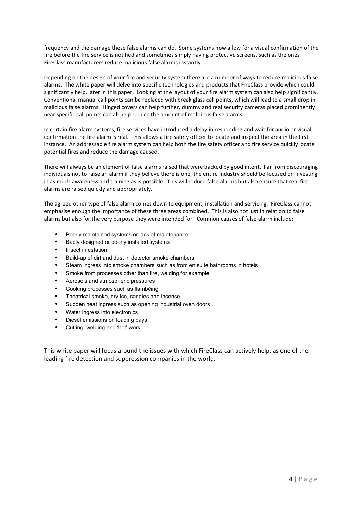frequency and the damage these false alarms can do. Some systems now allow for a visual confirmation of the fire before the fire service is notified and sometimes simply having protective screens, such as the ones FireClass manufacturers reduce malicious false alarms instantly.

Depending on the design of your fire and security system there are a number of ways to reduce malicious false alarms. The white paper will delve into specific technologies and products that FireClass provide which could significantly help, later in this paper. Looking at the layout of your fire alarm system can also help significantly. Conventional manual call points can be replaced with break glass call points, which will lead to a small drop in malicious false alarms. Hinged covers can help further, dummy and real security cameras placed prominently near specific call points can all help reduce the amount of malicious false alarms.

In certain fire alarm systems, fire services have introduced a delay in responding and wait for audio or visual confirmation the fire alarm is real. This allows a fire safety officer to locate and inspect the area in the first instance. An addressable fire alarm system can help both the fire safety officer and fire service quickly locate potential fires and reduce the damage caused.

There will always be an element of false alarms raised that were backed by good intent. Far from discouraging individuals not to raise an alarm if they believe there is one, the entire industry should be focused on investing in as much awareness and training as is possible. This will reduce false alarms but also ensure that real fire alarms are raised quickly and appropriately.

The agreed other type of false alarm comes down to equipment, installation and servicing. FireClass cannot emphasise enough the importance of these three areas combined. This is also not just in relation to false alarms but also for the very purpose they were intended for. Common causes of false alarm include;

- Poorly maintained systems or lack of maintenance
- Badly designed or poorly installed systems
- Insect infestation.
- Build-up of dirt and dust in detector smoke chambers
- Steam ingress into smoke chambers such as from en suite bathrooms in hotels
- Smoke from processes other than fire, welding for example
- Aerosols and atmospheric pressures
- Cooking processes such as flambéing
- Theatrical smoke, dry ice, candles and incense
- Sudden heat ingress such as opening industrial oven doors
- Water ingress into electronics
- Diesel emissions on loading bays
- Cutting, welding and 'hot' work

This white paper will focus around the issues with which FireClass can actively help, as one of the leading fire detection and suppression companies in the world.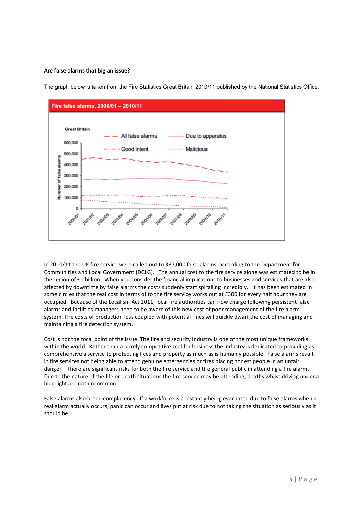## Are false alarms that big an issue?

The graph below is taken from the Fire Statistics Great Britain 2010/11 published by the National Statistics Office.



In 2010/11 the UK fire service were called out to 337,000 false alarms, according to the Department for Communities and Local Government (DCLG). "The annual cost to the fire service alone was estimated to be in the region of £1 billion. When you consider the financial implications to businesses and services that are also affected by downtime by false alarms the costs suddenly start spiralling incredibly. It has been estimated in some circles that the real cost in terms of to the fire service works out at £300 for every half hour they are occupied. Because of the Localism Act 2011, local fire authorities can now charge following persistent false alarms and facilities managers need to be aware of this new cost of poor management of the fire alarm system. The costs of production loss coupled with potential fines will quickly dwarf the cost of managing and maintaining a fire detection system.

Cost is not the focal point of the issue. The fire and security industry is one of the most unique frameworks within the world. Rather than a purely competitive zeal for business the industry is dedicated to providing as comprehensive a service to protecting lives and property as much as is humanly possible. False alarms result in fire services not being able to attend genuine emergencies or fires placing honest people in an unfair danger. There are significant risks for both the fire service and the general public in attending a fire alarm. Due to the nature of the life or death situations the fire service may be attending, deaths whilst driving under a blue light are not uncommon.

False alarms also breed complacency. If a workforce is constantly being evacuated due to false alarms when a real alarm actually occurs, panic can occur and lives put at risk due to not taking the situation as seriously as it should be.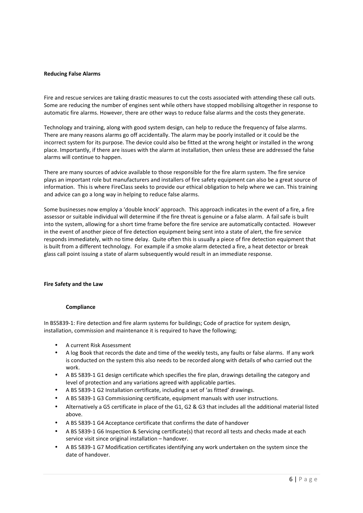### **Reducing'False'Alarms**

Fire and rescue services are taking drastic measures to cut the costs associated with attending these call outs. Some are reducing the number of engines sent while others have stopped mobilising altogether in response to automatic fire alarms. However, there are other ways to reduce false alarms and the costs they generate.

Technology and training, along with good system design, can help to reduce the frequency of false alarms. There are many reasons alarms go off accidentally. The alarm may be poorly installed or it could be the incorrect system for its purpose. The device could also be fitted at the wrong height or installed in the wrong place. Importantly, if there are issues with the alarm at installation, then unless these are addressed the false alarms will continue to happen.

There are many sources of advice available to those responsible for the fire alarm system. The fire service plays an important role but manufacturers and installers of fire safety equipment can also be a great source of information. This is where FireClass seeks to provide our ethical obligation to help where we can. This training and advice can go a long way in helping to reduce false alarms.

Some businesses now employ a 'double knock' approach. This approach indicates in the event of a fire, a fire assessor or suitable individual will determine if the fire threat is genuine or a false alarm. A fail safe is built into the system, allowing for a short time frame before the fire service are automatically contacted. However in the event of another piece of fire detection equipment being sent into a state of alert, the fire service responds immediately, with no time delay. Quite often this is usually a piece of fire detection equipment that is built from a different technology. For example if a smoke alarm detected a fire, a heat detector or break glass call point issuing a state of alarm subsequently would result in an immediate response.

#### **Fire Safety and the Law**

#### **Compliance**

In BS5839-1: Fire detection and fire alarm systems for buildings; Code of practice for system design, installation, commission and maintenance it is required to have the following;

- A current Risk Assessment
- A log Book that records the date and time of the weekly tests, any faults or false alarms. If any work is conducted on the system this also needs to be recorded along with details of who carried out the work.
- A BS 5839-1 G1 design certificate which specifies the fire plan, drawings detailing the category and level of protection and any variations agreed with applicable parties.
- A BS 5839-1 G2 Installation certificate, including a set of 'as fitted' drawings.
- A BS 5839-1 G3 Commissioning certificate, equipment manuals with user instructions.
- Alternatively a G5 certificate in place of the G1, G2 & G3 that includes all the additional material listed above.
- A BS 5839-1 G4 Acceptance certificate that confirms the date of handover
- A BS 5839-1 G6 Inspection & Servicing certificate(s) that record all tests and checks made at each service visit since original installation – handover.
- A BS 5839-1 G7 Modification certificates identifying any work undertaken on the system since the date of handover.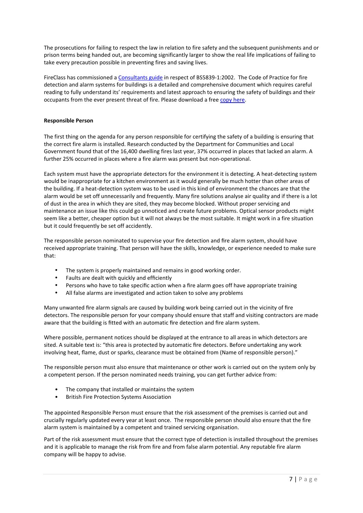The prosecutions for failing to respect the law in relation to fire safety and the subsequent punishments and or prison terms being handed out, are becoming significantly larger to show the real life implications of failing to take every precaution possible in preventing fires and saving lives.

FireClass has commissioned a Consultants guide in respect of BS5839-1:2002. The Code of Practice for fire detection and alarm systems for buildings is a detailed and comprehensive document which requires careful reading to fully understand its' requirements and latest approach to ensuring the safety of buildings and their occupants from the ever present threat of fire. Please download a free copy here.

# **Responsible'Person**

The first thing on the agenda for any person responsible for certifying the safety of a building is ensuring that the correct fire alarm is installed. Research conducted by the Department for Communities and Local Government found that of the 16,400 dwelling fires last year, 37% occurred in places that lacked an alarm. A further 25% occurred in places where a fire alarm was present but non-operational.

Each system must have the appropriate detectors for the environment it is detecting. A heat-detecting system would be inappropriate for a kitchen environment as it would generally be much hotter than other areas of the building. If a heat-detection system was to be used in this kind of environment the chances are that the alarm would be set off unnecessarily and frequently. Many fire solutions analyse air quality and if there is a lot of dust in the area in which they are sited, they may become blocked. Without proper servicing and maintenance an issue like this could go unnoticed and create future problems. Optical sensor products might seem like a better, cheaper option but it will not always be the most suitable. It might work in a fire situation but it could frequently be set off accidently.

The responsible person nominated to supervise your fire detection and fire alarm system, should have received appropriate training. That person will have the skills, knowledge, or experience needed to make sure that:

- The system is properly maintained and remains in good working order.
- Faults are dealt with quickly and efficiently
- Persons who have to take specific action when a fire alarm goes off have appropriate training"<br>• All false alarms are investigated and action taken to solve any problems.
- All false alarms are investigated and action taken to solve any problems

Many unwanted fire alarm signals are caused by building work being carried out in the vicinity of fire detectors. The responsible person for your company should ensure that staff and visiting contractors are made aware that the building is fitted with an automatic fire detection and fire alarm system.

Where possible, permanent notices should be displayed at the entrance to all areas in which detectors are sited. A suitable text is: "this area is protected by automatic fire detectors. Before undertaking any work involving heat, flame, dust or sparks, clearance must be obtained from (Name of responsible person)."

The responsible person must also ensure that maintenance or other work is carried out on the system only by a competent person. If the person nominated needs training, you can get further advice from:

- The company that installed or maintains the system
- British Fire Protection Systems Association

The appointed Responsible Person must ensure that the risk assessment of the premises is carried out and crucially regularly updated every year at least once. The responsible person should also ensure that the fire alarm system is maintained by a competent and trained servicing organisation.

Part of the risk assessment must ensure that the correct type of detection is installed throughout the premises and it is applicable to manage the risk from fire and from false alarm potential. Any reputable fire alarm company will be happy to advise.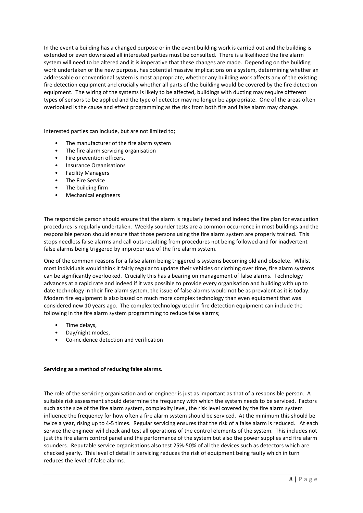In the event a building has a changed purpose or in the event building work is carried out and the building is extended or even downsized all interested parties must be consulted. There is a likelihood the fire alarm system will need to be altered and it is imperative that these changes are made. Depending on the building work undertaken or the new purpose, has potential massive implications on a system, determining whether an addressable or conventional system is most appropriate, whether any building work affects any of the existing fire detection equipment and crucially whether all parts of the building would be covered by the fire detection equipment. The wiring of the systems is likely to be affected, buildings with ducting may require different types of sensors to be applied and the type of detector may no longer be appropriate. One of the areas often overlooked is the cause and effect programming as the risk from both fire and false alarm may change.

Interested parties can include, but are not limited to;

- The manufacturer of the fire alarm system
- The fire alarm servicing organisation
- Fire prevention officers.
- Insurance Organisations
- Facility"Managers
- The Fire Service
- The building firm
- Mechanical engineers

The responsible person should ensure that the alarm is regularly tested and indeed the fire plan for evacuation procedures is regularly undertaken. Weekly sounder tests are a common occurrence in most buildings and the responsible person should ensure that those persons using the fire alarm system are properly trained. This stops needless false alarms and call outs resulting from procedures not being followed and for inadvertent false alarms being triggered by improper use of the fire alarm system.

One of the common reasons for a false alarm being triggered is systems becoming old and obsolete. Whilst most individuals would think it fairly regular to update their vehicles or clothing over time, fire alarm systems can be significantly overlooked. Crucially this has a bearing on management of false alarms. Technology advances at a rapid rate and indeed if it was possible to provide every organisation and building with up to date technology in their fire alarm system, the issue of false alarms would not be as prevalent as it is today. Modern fire equipment is also based on much more complex technology than even equipment that was considered new 10 years ago. The complex technology used in fire detection equipment can include the following in the fire alarm system programming to reduce false alarms;

- Time delays,
- Day/night modes,
- Co-incidence detection and verification

### Servicing as a method of reducing false alarms.

The role of the servicing organisation and or engineer is just as important as that of a responsible person. A suitable risk assessment should determine the frequency with which the system needs to be serviced. Factors such as the size of the fire alarm system, complexity level, the risk level covered by the fire alarm system influence the frequency for how often a fire alarm system should be serviced. At the minimum this should be twice a year, rising up to 4-5 times. Regular servicing ensures that the risk of a false alarm is reduced. At each service the engineer will check and test all operations of the control elements of the system. This includes not just the fire alarm control panel and the performance of the system but also the power supplies and fire alarm sounders. Reputable service organisations also test 25%-50% of all the devices such as detectors which are checked yearly. This level of detail in servicing reduces the risk of equipment being faulty which in turn reduces the level of false alarms.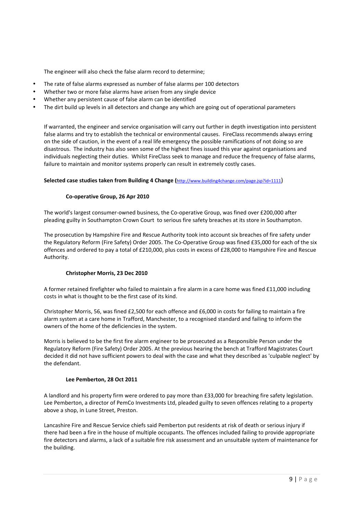The engineer will also check the false alarm record to determine;

- The rate of false alarms expressed as number of false alarms per 100 detectors
- Whether two or more false alarms have arisen from any single device
- Whether any persistent cause of false alarm can be identified
- The dirt build up levels in all detectors and change any which are going out of operational parameters

If warranted, the engineer and service organisation will carry out further in depth investigation into persistent false alarms and try to establish the technical or environmental causes. FireClass recommends always erring on the side of caution, in the event of a real life emergency the possible ramifications of not doing so are disastrous. The industry has also seen some of the highest fines issued this year against organisations and individuals neglecting their duties. Whilst FireClass seek to manage and reduce the frequency of false alarms, failure to maintain and monitor systems properly can result in extremely costly cases.

## Selected case studies taken from Building 4 Change ( $\frac{\text{http://www.buiding4change.com/page.isp?id=1111}}{\text{http://www.buiding4change.com/page.isp?id=1111)}}$

# Co-operative Group, 26 Apr 2010

The world's largest consumer-owned business, the Co-operative Group, was fined over £200,000 after pleading guilty in Southampton Crown Court to serious fire safety breaches at its store in Southampton.

The prosecution by Hampshire Fire and Rescue Authority took into account six breaches of fire safety under the Regulatory Reform (Fire Safety) Order 2005. The Co-Operative Group was fined £35,000 for each of the six offences and ordered to pay a total of £210,000, plus costs in excess of £28,000 to Hampshire Fire and Rescue Authority.

# **Christopher Morris, 23 Dec 2010**

A former retained firefighter who failed to maintain a fire alarm in a care home was fined £11,000 including costs in what is thought to be the first case of its kind.

Christopher Morris, 56, was fined £2,500 for each offence and £6,000 in costs for failing to maintain a fire alarm system at a care home in Trafford, Manchester, to a recognised standard and failing to inform the owners of the home of the deficiencies in the system.

Morris is believed to be the first fire alarm engineer to be prosecuted as a Responsible Person under the Regulatory Reform (Fire Safety) Order 2005. At the previous hearing the bench at Trafford Magistrates Court decided it did not have sufficient powers to deal with the case and what they described as 'culpable neglect' by the defendant.

## Lee Pemberton, 28 Oct 2011

A landlord and his property firm were ordered to pay more than £33,000 for breaching fire safety legislation. Lee Pemberton, a director of PemCo Investments Ltd, pleaded guilty to seven offences relating to a property above a shop, in Lune Street, Preston.

Lancashire Fire and Rescue Service chiefs said Pemberton put residents at risk of death or serious injury if there had been a fire in the house of multiple occupants. The offences included failing to provide appropriate fire detectors and alarms, a lack of a suitable fire risk assessment and an unsuitable system of maintenance for the building.